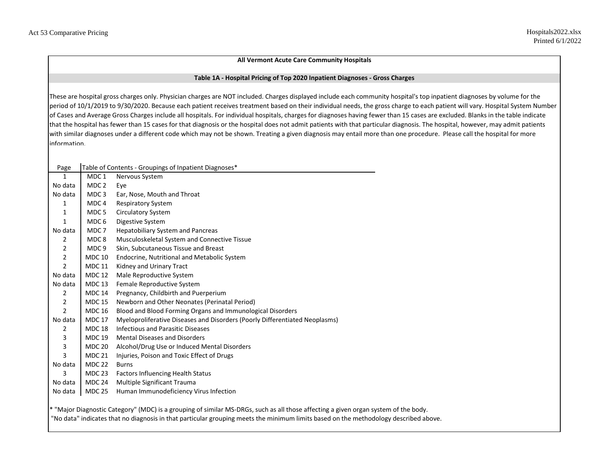## **All Vermont Acute Care Community Hospitals**

## **Table 1A - Hospital Pricing of Top 2020 Inpatient Diagnoses - Gross Charges**

These are hospital gross charges only. Physician charges are NOT included. Charges displayed include each community hospital's top inpatient diagnoses by volume for the period of 10/1/2019 to 9/30/2020. Because each patient receives treatment based on their individual needs, the gross charge to each patient will vary. Hospital System Number of Cases and Average Gross Charges include all hospitals. For individual hospitals, charges for diagnoses having fewer than 15 cases are excluded. Blanks in the table indicate that the hospital has fewer than 15 cases for that diagnosis or the hospital does not admit patients with that particular diagnosis. The hospital, however, may admit patients with similar diagnoses under a different code which may not be shown. Treating a given diagnosis may entail more than one procedure. Please call the hospital for more information.

| Page           |                  | Table of Contents - Groupings of Inpatient Diagnoses*                       |
|----------------|------------------|-----------------------------------------------------------------------------|
| 1              | MDC <sub>1</sub> | Nervous System                                                              |
| No data        | MDC 2            | Eye                                                                         |
| No data        | MDC <sub>3</sub> | Ear, Nose, Mouth and Throat                                                 |
| 1              | MDC 4            | <b>Respiratory System</b>                                                   |
| 1              | MDC <sub>5</sub> | <b>Circulatory System</b>                                                   |
| 1              | MDC 6            | Digestive System                                                            |
| No data        | MDC 7            | <b>Hepatobiliary System and Pancreas</b>                                    |
| 2              | MDC 8            | Musculoskeletal System and Connective Tissue                                |
| $\overline{2}$ | MDC <sub>9</sub> | Skin, Subcutaneous Tissue and Breast                                        |
| $\overline{2}$ | <b>MDC 10</b>    | Endocrine, Nutritional and Metabolic System                                 |
| $\overline{2}$ | <b>MDC 11</b>    | Kidney and Urinary Tract                                                    |
| No data        | <b>MDC 12</b>    | Male Reproductive System                                                    |
| No data        | <b>MDC 13</b>    | Female Reproductive System                                                  |
| 2              | <b>MDC 14</b>    | Pregnancy, Childbirth and Puerperium                                        |
| $\overline{2}$ | <b>MDC 15</b>    | Newborn and Other Neonates (Perinatal Period)                               |
| $\overline{2}$ | <b>MDC 16</b>    | Blood and Blood Forming Organs and Immunological Disorders                  |
| No data        | <b>MDC 17</b>    | Myeloproliferative Diseases and Disorders (Poorly Differentiated Neoplasms) |
| 2              | <b>MDC 18</b>    | <b>Infectious and Parasitic Diseases</b>                                    |
| 3              | <b>MDC 19</b>    | <b>Mental Diseases and Disorders</b>                                        |
| 3              | <b>MDC 20</b>    | Alcohol/Drug Use or Induced Mental Disorders                                |
| 3              | <b>MDC 21</b>    | Injuries, Poison and Toxic Effect of Drugs                                  |
| No data        | <b>MDC 22</b>    | <b>Burns</b>                                                                |
| 3              | <b>MDC 23</b>    | <b>Factors Influencing Health Status</b>                                    |
| No data        | <b>MDC 24</b>    | Multiple Significant Trauma                                                 |
| No data        | <b>MDC 25</b>    | Human Immunodeficiency Virus Infection                                      |
|                |                  |                                                                             |

\* "Major Diagnostic Category" (MDC) is a grouping of similar MS-DRGs, such as all those affecting a given organ system of the body. "No data" indicates that no diagnosis in that particular grouping meets the minimum limits based on the methodology described above.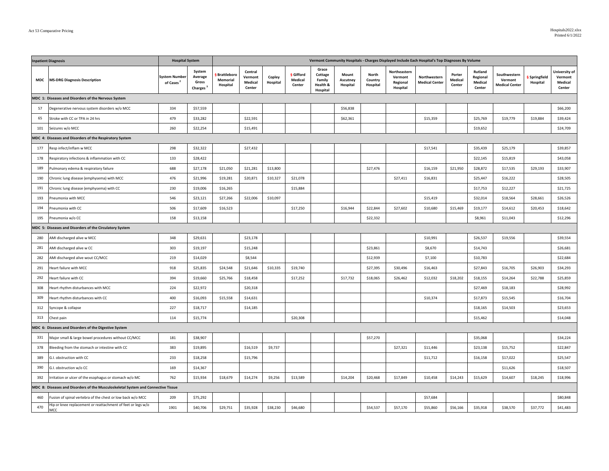| <b>Inpatient Diagnosis</b> |                                                                                   | <b>Hospital System</b>                        |                                                    | Vermont Community Hospitals - Charges Displayed Include Each Hospital's Top Diagnoses By Volume |                                         |                    |                                       |                                                    |                               |                              |                                                 |                                       |                             |                                          |                                                  |                         |                                               |
|----------------------------|-----------------------------------------------------------------------------------|-----------------------------------------------|----------------------------------------------------|-------------------------------------------------------------------------------------------------|-----------------------------------------|--------------------|---------------------------------------|----------------------------------------------------|-------------------------------|------------------------------|-------------------------------------------------|---------------------------------------|-----------------------------|------------------------------------------|--------------------------------------------------|-------------------------|-----------------------------------------------|
| <b>MDC</b>                 | <b>MS-DRG Diagnosis Description</b>                                               | <b>System Number</b><br>of Cases <sup>2</sup> | System<br>Average<br>Gross<br>Charges <sup>3</sup> | Brattleboro<br>Memorial<br>Hospital                                                             | Central<br>Vermont<br>Medical<br>Center | Copley<br>Hospital | <b>§</b> Gifford<br>Medical<br>Center | Grace<br>Cottage<br>Family<br>Health &<br>Hospital | Mount<br>Ascutney<br>Hospital | North<br>Country<br>Hospital | Northeastern<br>Vermont<br>Regional<br>Hospital | Northwestern<br><b>Medical Center</b> | Porter<br>Medical<br>Center | Rutland<br>Regional<br>Medical<br>Center | Southwestern<br>Vermont<br><b>Medical Center</b> | Springfield<br>Hospital | University of<br>Vermont<br>Medical<br>Center |
|                            | MDC 1: Diseases and Disorders of the Nervous System                               |                                               |                                                    |                                                                                                 |                                         |                    |                                       |                                                    |                               |                              |                                                 |                                       |                             |                                          |                                                  |                         |                                               |
| 57                         | Degenerative nervous system disorders w/o MCC                                     | 334                                           | \$57,559                                           |                                                                                                 |                                         |                    |                                       |                                                    | \$56,838                      |                              |                                                 |                                       |                             |                                          |                                                  |                         | \$66,200                                      |
| 65                         | Stroke with CC or TPA in 24 hrs                                                   | 479                                           | \$33,282                                           |                                                                                                 | \$22,591                                |                    |                                       |                                                    | \$62,361                      |                              |                                                 | \$15,359                              |                             | \$25,769                                 | \$19,779                                         | \$19,884                | \$39,424                                      |
| 101                        | Seizures w/o MCC                                                                  | 260                                           | \$22,254                                           |                                                                                                 | \$15,491                                |                    |                                       |                                                    |                               |                              |                                                 |                                       |                             | \$19,652                                 |                                                  |                         | \$24,709                                      |
|                            | MDC 4: Diseases and Disorders of the Respiratory System                           |                                               |                                                    |                                                                                                 |                                         |                    |                                       |                                                    |                               |                              |                                                 |                                       |                             |                                          |                                                  |                         |                                               |
| 177                        | Resp infect/inflam w MCC                                                          | 298                                           | \$32,322                                           |                                                                                                 | \$27,432                                |                    |                                       |                                                    |                               |                              |                                                 | \$17,541                              |                             | \$35,439                                 | \$25,179                                         |                         | \$39,857                                      |
| 178                        | Respiratory infections & inflammation with CC                                     | 133                                           | \$28,422                                           |                                                                                                 |                                         |                    |                                       |                                                    |                               |                              |                                                 |                                       |                             | \$22,145                                 | \$15,819                                         |                         | \$43,058                                      |
| 189                        | Pulmonary edema & respiratory failure                                             | 688                                           | \$27,178                                           | \$21,050                                                                                        | \$21,281                                | \$13,800           |                                       |                                                    |                               | \$27,476                     |                                                 | \$16,159                              | \$21,950                    | \$28,872                                 | \$17,535                                         | \$29,193                | \$33,907                                      |
| 190                        | Chronic lung disease (emphysema) with MCC                                         | 476                                           | \$21,996                                           | \$19,281                                                                                        | \$20,871                                | \$10,327           | \$21,078                              |                                                    |                               |                              | \$27,411                                        | \$16,831                              |                             | \$25,447                                 | \$16,222                                         |                         | \$28,505                                      |
| 191                        | Chronic lung disease (emphysema) with CC                                          | 230                                           | \$19,006                                           | \$16,265                                                                                        |                                         |                    | \$15,884                              |                                                    |                               |                              |                                                 |                                       |                             | \$17,753                                 | \$12,227                                         |                         | \$21,725                                      |
| 193                        | neumonia with MCC                                                                 | 546                                           | \$23,121                                           | \$27,266                                                                                        | \$22,006                                | \$10,097           |                                       |                                                    |                               |                              |                                                 | \$15,419                              |                             | \$32,014                                 | \$18,564                                         | \$28,661                | \$26,526                                      |
| 194                        | Pneumonia with CC                                                                 | 506                                           | \$17,609                                           | \$16,523                                                                                        |                                         |                    | \$17,250                              |                                                    | \$16,944                      | \$22,844                     | \$27,602                                        | \$10,680                              | \$15,469                    | \$19,177                                 | \$14,612                                         | \$20,453                | \$18,642                                      |
| 195                        | neumonia w/o CC                                                                   | 158                                           | \$13,158                                           |                                                                                                 |                                         |                    |                                       |                                                    |                               | \$22,332                     |                                                 |                                       |                             | \$8,961                                  | \$11,043                                         |                         | \$12,296                                      |
|                            | MDC 5: Diseases and Disorders of the Circulatory System                           |                                               |                                                    |                                                                                                 |                                         |                    |                                       |                                                    |                               |                              |                                                 |                                       |                             |                                          |                                                  |                         |                                               |
| 280                        | AMI discharged alive w MCC                                                        | 348                                           | \$29,631                                           |                                                                                                 | \$23,178                                |                    |                                       |                                                    |                               |                              |                                                 | \$10,991                              |                             | \$26,537                                 | \$19,556                                         |                         | \$39,554                                      |
| 281                        | AMI discharged alive w CC                                                         | 303                                           | \$19,197                                           |                                                                                                 | \$15,248                                |                    |                                       |                                                    |                               | \$23,861                     |                                                 | \$8,670                               |                             | \$14,743                                 |                                                  |                         | \$26,681                                      |
| 282                        | AMI discharged alive wout CC/MCC                                                  | 219                                           | \$14,029                                           |                                                                                                 | \$8,544                                 |                    |                                       |                                                    |                               | \$12,939                     |                                                 | \$7,100                               |                             | \$10,783                                 |                                                  |                         | \$22,684                                      |
| 291                        | leart failure with MCC                                                            | 918                                           | \$25,835                                           | \$24,548                                                                                        | \$21,646                                | \$10,335           | \$19,740                              |                                                    |                               | \$27,395                     | \$30,496                                        | \$16,463                              |                             | \$27,843                                 | \$16,705                                         | \$26,903                | \$34,293                                      |
| 292                        | leart failure with CC                                                             | 394                                           | \$19,660                                           | \$25,766                                                                                        | \$18,458                                |                    | \$17,252                              |                                                    | \$17,732                      | \$18,065                     | \$26,462                                        | \$12,032                              | \$18,202                    | \$18,155                                 | \$14,264                                         | \$22,788                | \$25,859                                      |
| 308                        | leart rhythm disturbances with MCC                                                | 224                                           | \$22,972                                           |                                                                                                 | \$20,318                                |                    |                                       |                                                    |                               |                              |                                                 |                                       |                             | \$27,469                                 | \$18,183                                         |                         | \$28,992                                      |
| 309                        | leart rhythm disturbances with CC                                                 | 400                                           | \$16,093                                           | \$15,558                                                                                        | \$14,631                                |                    |                                       |                                                    |                               |                              |                                                 | \$10,374                              |                             | \$17,873                                 | \$15,545                                         |                         | \$16,704                                      |
| 312                        | Syncope & collapse                                                                | 227                                           | \$18,717                                           |                                                                                                 | \$14,185                                |                    |                                       |                                                    |                               |                              |                                                 |                                       |                             | \$18,165                                 | \$14,503                                         |                         | \$23,653                                      |
| 313                        | Chest pain                                                                        | 114                                           | \$15,774                                           |                                                                                                 |                                         |                    | \$20,308                              |                                                    |                               |                              |                                                 |                                       |                             | \$15,462                                 |                                                  |                         | \$14,048                                      |
|                            | MDC 6: Diseases and Disorders of the Digestive System                             |                                               |                                                    |                                                                                                 |                                         |                    |                                       |                                                    |                               |                              |                                                 |                                       |                             |                                          |                                                  |                         |                                               |
| 331                        | Major small & large bowel procedures without CC/MCC                               | 181                                           | \$38,907                                           |                                                                                                 |                                         |                    |                                       |                                                    |                               | \$57,270                     |                                                 |                                       |                             | \$35,068                                 |                                                  |                         | \$34,224                                      |
| 378                        | Bleeding from the stomach or intestine with CC                                    | 383                                           | \$19,895                                           |                                                                                                 | \$16,519                                | \$9,737            |                                       |                                                    |                               |                              | \$27,321                                        | \$11,446                              |                             | \$23,138                                 | \$15,752                                         |                         | \$22,847                                      |
| 389                        | G.I. obstruction with CC                                                          | 233                                           | \$18,258                                           |                                                                                                 | \$15,796                                |                    |                                       |                                                    |                               |                              |                                                 | \$11,712                              |                             | \$16,158                                 | \$17,022                                         |                         | \$25,547                                      |
| 390                        | G.I. obstruction w/o CC                                                           | 169                                           | \$14,367                                           |                                                                                                 |                                         |                    |                                       |                                                    |                               |                              |                                                 |                                       |                             |                                          | \$11,626                                         |                         | \$18,507                                      |
| 392                        | rritation or ulcer of the esophagus or stomach w/o MC                             | 762                                           | \$15,934                                           | \$18,679                                                                                        | \$14,274                                | \$9,256            | \$13,589                              |                                                    | \$14,204                      | \$20,468                     | \$17,849                                        | \$10,458                              | \$14,243                    | \$15,629                                 | \$14,607                                         | \$18,245                | \$18,996                                      |
|                            | MDC 8: Diseases and Disorders of the Musculoskeletal System and Connective Tissue |                                               |                                                    |                                                                                                 |                                         |                    |                                       |                                                    |                               |                              |                                                 |                                       |                             |                                          |                                                  |                         |                                               |
| 460                        | Fusion of spinal vertebra of the chest or low back w/o MCC                        | 209                                           | \$75,292                                           |                                                                                                 |                                         |                    |                                       |                                                    |                               |                              |                                                 | \$57,684                              |                             |                                          |                                                  |                         | \$80,848                                      |
| 470                        | Hip or knee replacement or reattachment of feet or legs w/o<br>MCC                | 1901                                          | \$40,706                                           | \$29,751                                                                                        | \$35,928                                | \$38,230           | \$46,680                              |                                                    |                               | \$54,537                     | \$57,170                                        | \$55,860                              | \$56,166                    | \$35,918                                 | \$38,570                                         | \$37,772                | \$41,483                                      |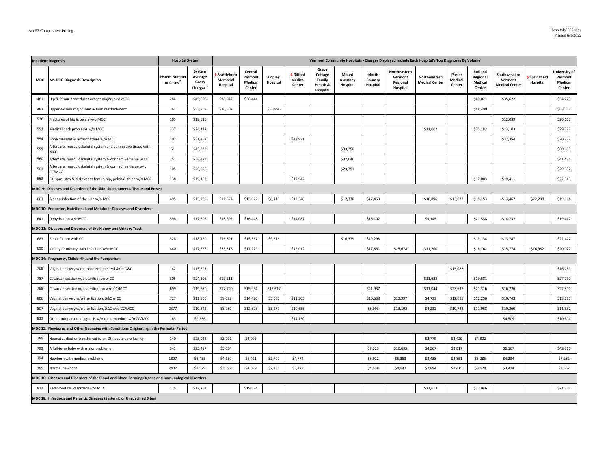| <b>Inpatient Diagnosis</b> |                                                                                                  | <b>Hospital System</b>                        |                                                    | Vermont Community Hospitals - Charges Displayed Include Each Hospital's Top Diagnoses By Volume |                                         |                    |                                |                                                    |                               |                              |                                                 |                                       |                             |                                          |                                                  |                         |                                               |
|----------------------------|--------------------------------------------------------------------------------------------------|-----------------------------------------------|----------------------------------------------------|-------------------------------------------------------------------------------------------------|-----------------------------------------|--------------------|--------------------------------|----------------------------------------------------|-------------------------------|------------------------------|-------------------------------------------------|---------------------------------------|-----------------------------|------------------------------------------|--------------------------------------------------|-------------------------|-----------------------------------------------|
| MDC                        | <b>MS-DRG Diagnosis Description</b>                                                              | <b>System Number</b><br>of Cases <sup>2</sup> | System<br>Average<br>Gross<br>Charges <sup>3</sup> | Brattleboro<br>Memorial<br>Hospital                                                             | Central<br>Vermont<br>Medical<br>Center | Copley<br>Hospital | § Gifford<br>Medical<br>Center | Grace<br>Cottage<br>Family<br>Health &<br>Hospital | Mount<br>Ascutney<br>Hospital | North<br>Country<br>Hospital | Northeastern<br>Vermont<br>Regional<br>Hospital | Northwestern<br><b>Medical Center</b> | Porter<br>Medical<br>Center | Rutland<br>Regional<br>Medical<br>Center | Southwestern<br>Vermont<br><b>Medical Center</b> | Springfield<br>Hospital | University of<br>Vermont<br>Medical<br>Center |
| 481                        | Hip & femur procedures except major joint w CC                                                   | 284                                           | \$45,658                                           | \$38,047                                                                                        | \$36,444                                |                    |                                |                                                    |                               |                              |                                                 |                                       |                             | \$40,021                                 | \$35,622                                         |                         | \$54,770                                      |
| 483                        | Upper extrem major joint & limb reattachment                                                     | 261                                           | \$53,808                                           | \$30,507                                                                                        |                                         | \$50,995           |                                |                                                    |                               |                              |                                                 |                                       |                             | \$48,490                                 |                                                  |                         | \$63,617                                      |
| 536                        | Fractures of hip & pelvis w/o MCC                                                                | 105                                           | \$19,610                                           |                                                                                                 |                                         |                    |                                |                                                    |                               |                              |                                                 |                                       |                             |                                          | \$12,039                                         |                         | \$26,610                                      |
| 552                        | Medical back problems w/o MCC                                                                    | 237                                           | \$24,147                                           |                                                                                                 |                                         |                    |                                |                                                    |                               |                              |                                                 | \$11,002                              |                             | \$25,182                                 | \$13,103                                         |                         | \$29,792                                      |
| 554                        | Bone diseases & arthropathies w/o MCC                                                            | 107                                           | \$31,452                                           |                                                                                                 |                                         |                    | \$43,921                       |                                                    |                               |                              |                                                 |                                       |                             |                                          | \$32,354                                         |                         | \$20,929                                      |
| 559                        | Aftercare, musculoskeletal system and connective tissue with<br>MCC                              | 51                                            | \$45,233                                           |                                                                                                 |                                         |                    |                                |                                                    | \$33,750                      |                              |                                                 |                                       |                             |                                          |                                                  |                         | \$60,663                                      |
| 560                        | Aftercare, musculoskeletal system & connective tissue w CC                                       | 251                                           | \$38,423                                           |                                                                                                 |                                         |                    |                                |                                                    | \$37,646                      |                              |                                                 |                                       |                             |                                          |                                                  |                         | \$41,481                                      |
| 561                        | Aftercare, musculoskeletal system & connective tissue w/o<br>CC/MCC                              | 105                                           | \$26,096                                           |                                                                                                 |                                         |                    |                                |                                                    | \$23,791                      |                              |                                                 |                                       |                             |                                          |                                                  |                         | \$29,882                                      |
| 563                        | FX, sprn, strn & disl except femur, hip, pelvis & thigh w/o MCC                                  | 138                                           | \$19,153                                           |                                                                                                 |                                         |                    | \$17,942                       |                                                    |                               |                              |                                                 |                                       |                             | \$17,003                                 | \$19,411                                         |                         | \$22,543                                      |
|                            | MDC 9: Diseases and Disorders of the Skin, Subcutaneous Tissue and Breast                        |                                               |                                                    |                                                                                                 |                                         |                    |                                |                                                    |                               |                              |                                                 |                                       |                             |                                          |                                                  |                         |                                               |
| 603                        | A deep infection of the skin w/o MCC                                                             | 495                                           | \$15,789                                           | \$11,674                                                                                        | \$13,022                                | \$8,419            | \$17,548                       |                                                    | \$12,330                      | \$17,453                     |                                                 | \$10,896                              | \$13,037                    | \$18,153                                 | \$13,467                                         | \$22,298                | \$19,114                                      |
|                            | MDC 10: Endocrine, Nutritional and Metabolic Diseases and Disorders                              |                                               |                                                    |                                                                                                 |                                         |                    |                                |                                                    |                               |                              |                                                 |                                       |                             |                                          |                                                  |                         |                                               |
| 641                        | Dehydration w/o MCC                                                                              | 398                                           | \$17,595                                           | \$18,692                                                                                        | \$16,448                                |                    | \$14,087                       |                                                    |                               | \$16,102                     |                                                 | \$9,145                               |                             | \$21,538                                 | \$14,732                                         |                         | \$19,447                                      |
|                            | MDC 11: Diseases and Disorders of the Kidney and Urinary Tract                                   |                                               |                                                    |                                                                                                 |                                         |                    |                                |                                                    |                               |                              |                                                 |                                       |                             |                                          |                                                  |                         |                                               |
| 683                        | Renal failure with CC                                                                            | 328                                           | \$18,160                                           | \$16,391                                                                                        | \$15,557                                | \$9,516            |                                |                                                    | \$16,379                      | \$19,298                     |                                                 |                                       |                             | \$19,134                                 | \$13,747                                         |                         | \$22,472                                      |
| 690                        | Kidney or urinary tract infection w/o MCC                                                        | 440                                           | \$17,258                                           | \$23,518                                                                                        | \$17,279                                |                    | \$15,012                       |                                                    |                               | \$17,861                     | \$25,678                                        | \$11,200                              |                             | \$16,162                                 | \$15,774                                         | \$16,982                | \$20,027                                      |
|                            | MDC 14: Pregnancy, Childbirth, and the Puerperium                                                |                                               |                                                    |                                                                                                 |                                         |                    |                                |                                                    |                               |                              |                                                 |                                       |                             |                                          |                                                  |                         |                                               |
| 768                        | Vaginal delivery w o.r. proc except steril &/or D&C                                              | 142                                           | \$15,507                                           |                                                                                                 |                                         |                    |                                |                                                    |                               |                              |                                                 |                                       | \$15,082                    |                                          |                                                  |                         | \$16,759                                      |
| 787                        | Cesarean section w/o sterilization w CC                                                          | 305                                           | \$24,308                                           | \$19,211                                                                                        |                                         |                    |                                |                                                    |                               |                              |                                                 | \$11,628                              |                             | \$19,681                                 |                                                  |                         | \$27,290                                      |
| 788                        | Cesarean section w/o sterilization w/o CC/MCC                                                    | 699                                           | \$19,570                                           | \$17,790                                                                                        | \$15,934                                | \$15,617           |                                |                                                    |                               | \$21,937                     |                                                 | \$11,044                              | \$23,637                    | \$21,316                                 | \$16,726                                         |                         | \$22,501                                      |
| 806                        | Vaginal delivery w/o sterilization/D&C w CC                                                      | 727                                           | \$11,806                                           | \$9,679                                                                                         | \$14,420                                | \$5,663            | \$11,305                       |                                                    |                               | \$10,538                     | \$12,997                                        | \$4,733                               | \$12,095                    | \$12,256                                 | \$10,743                                         |                         | \$13,125                                      |
| 807                        | Vaginal delivery w/o sterilization/D&C w/o CC/MCC                                                | 2377                                          | \$10,342                                           | \$8,780                                                                                         | \$12,875                                | \$5,279            | \$10,656                       |                                                    |                               | \$8,993                      | \$13,192                                        | \$4,232                               | \$10,742                    | \$11,968                                 | \$10,260                                         |                         | \$11,332                                      |
| 833                        | Other antepartum diagnosis w/o o.r. procedure w/o CC/MCC                                         | 163                                           | \$9,356                                            |                                                                                                 |                                         |                    | \$14,150                       |                                                    |                               |                              |                                                 |                                       |                             |                                          | \$4,509                                          |                         | \$10,694                                      |
|                            | MDC 15: Newborns and Other Neonates with Conditions Originating in the Perinatal Period          |                                               |                                                    |                                                                                                 |                                         |                    |                                |                                                    |                               |                              |                                                 |                                       |                             |                                          |                                                  |                         |                                               |
| 789                        | Neonates died or transferred to an Oth acute care facility                                       | 140                                           | \$25,023                                           | \$2,791                                                                                         | \$3,096                                 |                    |                                |                                                    |                               |                              |                                                 | \$2,779                               | \$3,429                     | \$4,822                                  |                                                  |                         |                                               |
| 793                        | A full-term baby with major problems                                                             | 341                                           | \$25,487                                           | \$5,034                                                                                         |                                         |                    |                                |                                                    |                               | \$9,323                      | \$10,693                                        | \$4,567                               | \$3,817                     |                                          | \$6,167                                          |                         | \$42,210                                      |
| 794                        | Newborn with medical problems                                                                    | 1807                                          | \$5,455                                            | \$4,130                                                                                         | \$5,421                                 | \$2,707            | \$4,774                        |                                                    |                               | \$5,912                      | \$5,383                                         | \$3,438                               | \$2,851                     | \$5,285                                  | \$4,234                                          |                         | \$7,282                                       |
| 795                        | Normal newborn                                                                                   | 2402                                          | \$3,529                                            | \$3,592                                                                                         | \$4,089                                 | \$2,451            | \$3,479                        |                                                    |                               | \$4,538                      | \$4,947                                         | \$2,894                               | \$2,415                     | \$3,624                                  | \$3,414                                          |                         | \$3,557                                       |
|                            | MDC 16: Diseases and Disorders of the Blood and Blood Forming Organs and Immunological Disorders |                                               |                                                    |                                                                                                 |                                         |                    |                                |                                                    |                               |                              |                                                 |                                       |                             |                                          |                                                  |                         |                                               |
| 812                        | Red blood cell disorders w/o MCC                                                                 | 175                                           | \$17,264                                           |                                                                                                 | \$19,674                                |                    |                                |                                                    |                               |                              |                                                 | \$11,613                              |                             | \$17,046                                 |                                                  |                         | \$21,202                                      |
|                            | MDC 18: Infectious and Parasitic Diseases (Systemic or Unspecified Sites)                        |                                               |                                                    |                                                                                                 |                                         |                    |                                |                                                    |                               |                              |                                                 |                                       |                             |                                          |                                                  |                         |                                               |